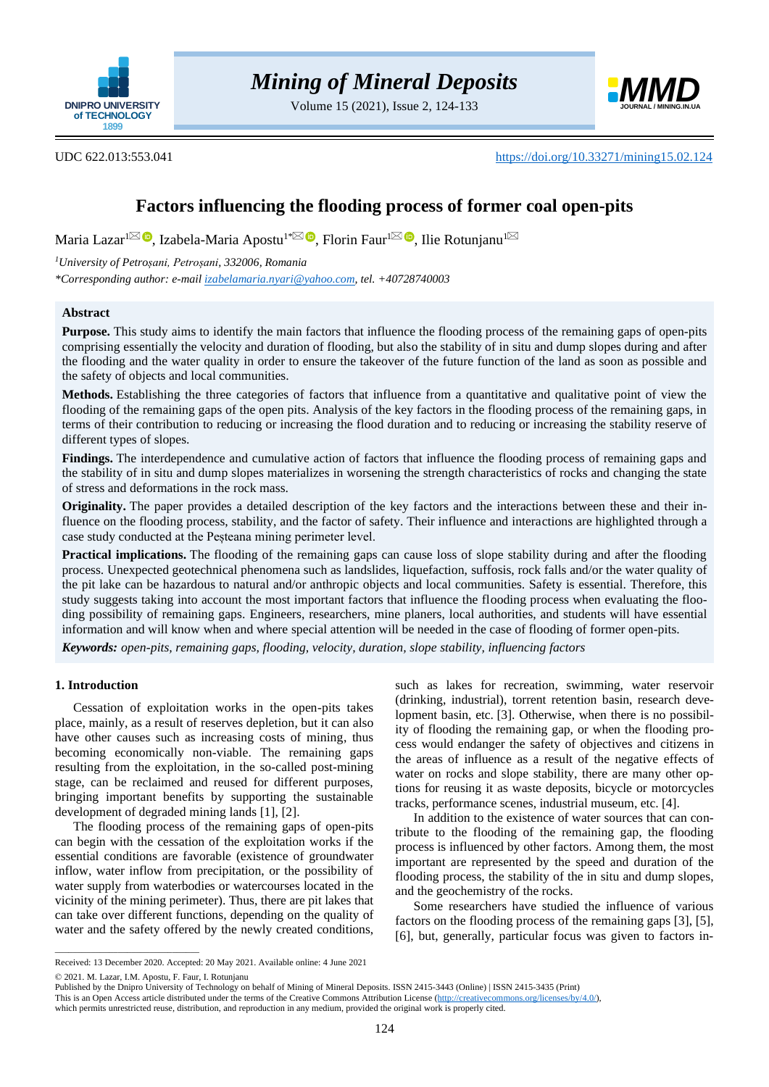

Volume 15 (2021), Issue 2, 124-133



UDC 622.013:553.041 <https://doi.org/10.33271/mining15.02.124>

# **Factors influencing the flooding process of former coal open-pits**

Maria Lazar<sup>[1](mailto:rotunjanu1943@yahoo.com)⊠</sup> ®[,](https://orcid.org/0000-0002-0880-0913) Izabela-Maria Apostu<sup>1[\\*](mailto:izabelaapostu@upet.ro)⊠ ®</sup>, Florin Faur<sup>1⊠ ®</sup>, Ilie Rotunjanu<sup>1</sup>

*<sup>1</sup>University of Petroșani, Petroșani, 332006, Romania*

*\*Corresponding author: e-mai[l izabelamaria.nyari@yahoo.com,](mailto:izabelamaria.nyari@yahoo.com) tel. +40728740003*

## **Abstract**

**Purpose.** This study aims to identify the main factors that influence the flooding process of the remaining gaps of open-pits comprising essentially the velocity and duration of flooding, but also the stability of in situ and dump slopes during and after the flooding and the water quality in order to ensure the takeover of the future function of the land as soon as possible and the safety of objects and local communities.

**Methods.** Establishing the three categories of factors that influence from a quantitative and qualitative point of view the flooding of the remaining gaps of the open pits. Analysis of the key factors in the flooding process of the remaining gaps, in terms of their contribution to reducing or increasing the flood duration and to reducing or increasing the stability reserve of different types of slopes.

**Findings.** The interdependence and cumulative action of factors that influence the flooding process of remaining gaps and the stability of in situ and dump slopes materializes in worsening the strength characteristics of rocks and changing the state of stress and deformations in the rock mass.

**Originality.** The paper provides a detailed description of the key factors and the interactions between these and their influence on the flooding process, stability, and the factor of safety. Their influence and interactions are highlighted through a case study conducted at the Peșteana mining perimeter level.

**Practical implications.** The flooding of the remaining gaps can cause loss of slope stability during and after the flooding process. Unexpected geotechnical phenomena such as landslides, liquefaction, suffosis, rock falls and/or the water quality of the pit lake can be hazardous to natural and/or anthropic objects and local communities. Safety is essential. Therefore, this study suggests taking into account the most important factors that influence the flooding process when evaluating the flooding possibility of remaining gaps. Engineers, researchers, mine planers, local authorities, and students will have essential information and will know when and where special attention will be needed in the case of flooding of former open-pits.

*Keywords: open-pits, remaining gaps, flooding, velocity, duration, slope stability, influencing factors*

# **1. Introduction**

Cessation of exploitation works in the open-pits takes place, mainly, as a result of reserves depletion, but it can also have other causes such as increasing costs of mining, thus becoming economically non-viable. The remaining gaps resulting from the exploitation, in the so-called post-mining stage, can be reclaimed and reused for different purposes, bringing important benefits by supporting the sustainable development of degraded mining lands [\[1\],](#page-8-0) [\[2\].](#page-8-1)

The flooding process of the remaining gaps of open-pits can begin with the cessation of the exploitation works if the essential conditions are favorable (existence of groundwater inflow, water inflow from precipitation, or the possibility of water supply from waterbodies or watercourses located in the vicinity of the mining perimeter). Thus, there are pit lakes that can take over different functions, depending on the quality of water and the safety offered by the newly created conditions,

such as lakes for recreation, swimming, water reservoir (drinking, industrial), torrent retention basin, research development basin, etc. [\[3\].](#page-8-2) Otherwise, when there is no possibility of flooding the remaining gap, or when the flooding process would endanger the safety of objectives and citizens in the areas of influence as a result of the negative effects of water on rocks and slope stability, there are many other options for reusing it as waste deposits, bicycle or motorcycles tracks, performance scenes, industrial museum, etc. [\[4\].](#page-8-3)

In addition to the existence of water sources that can contribute to the flooding of the remaining gap, the flooding process is influenced by other factors. Among them, the most important are represented by the speed and duration of the flooding process, the stability of the in situ and dump slopes, and the geochemistry of the rocks.

Some researchers have studied the influence of various factors on the flooding process of the remaining gaps [\[3\],](#page-8-2) [\[5\],](#page-8-4) [\[6\],](#page-8-5) but, generally, particular focus was given to factors in-

© 2021. M. Lazar, I.M. Apostu, F. Faur, I. Rotunjanu

 $\overline{\phantom{a}}$  , and the set of the set of the set of the set of the set of the set of the set of the set of the set of the set of the set of the set of the set of the set of the set of the set of the set of the set of the s

Received: 13 December 2020. Accepted: 20 May 2021. Available online: 4 June 2021

Published by the Dnipro University of Technology on behalf of Mining of Mineral Deposits. ISSN 2415-3443 (Online) | ISSN 2415-3435 (Print)

This is an Open Access article distributed under the terms of the Creative Commons Attribution License [\(http://creativecommons.org/licenses/by/4.0/\)](http://creativecommons.org/licenses/by/4.0/),

which permits unrestricted reuse, distribution, and reproduction in any medium, provided the original work is properly cited.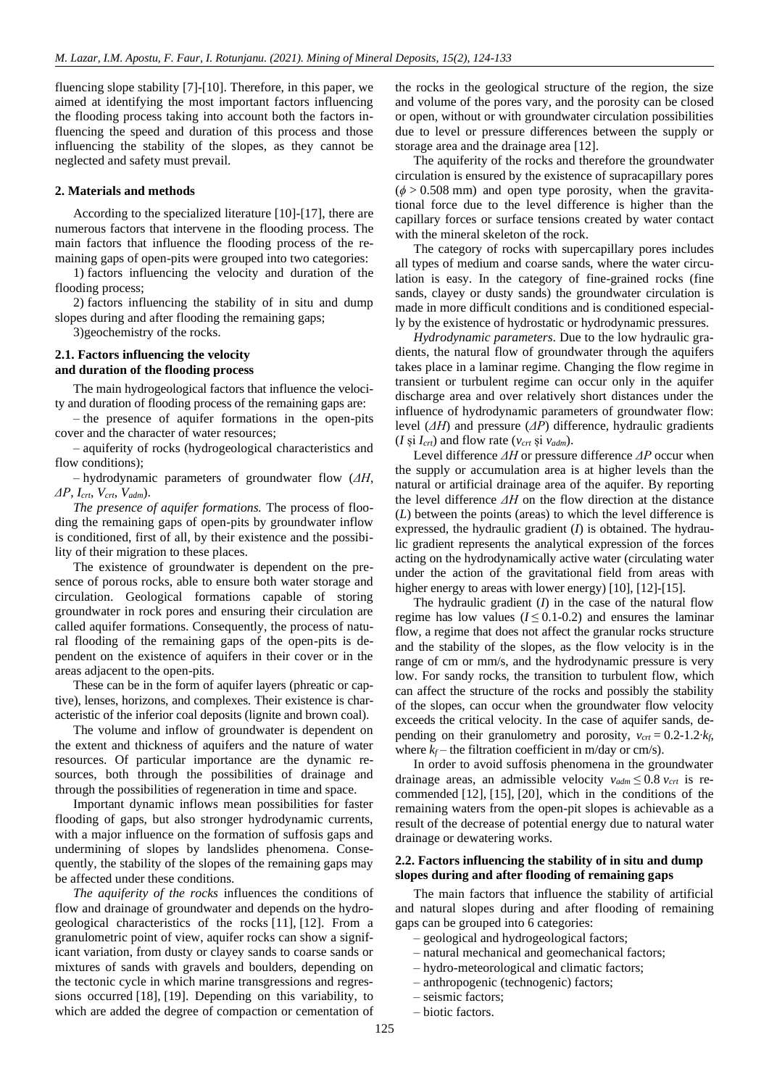fluencing slope stability [\[7\]](#page-8-6)[-\[10\].](#page-8-7) Therefore, in this paper, we aimed at identifying the most important factors influencing the flooding process taking into account both the factors influencing the speed and duration of this process and those influencing the stability of the slopes, as they cannot be neglected and safety must prevail.

## **2. Materials and methods**

According to the specialized literature [\[10\]](#page-8-7)[-\[17\],](#page-8-8) there are numerous factors that intervene in the flooding process. The main factors that influence the flooding process of the remaining gaps of open-pits were grouped into two categories:

1) factors influencing the velocity and duration of the flooding process;

2) factors influencing the stability of in situ and dump slopes during and after flooding the remaining gaps;

3)geochemistry of the rocks.

## **2.1. Factors influencing the velocity and duration of the flooding process**

The main hydrogeological factors that influence the velocity and duration of flooding process of the remaining gaps are:

– the presence of aquifer formations in the open-pits cover and the character of water resources;

– aquiferity of rocks (hydrogeological characteristics and flow conditions);

– hydrodynamic parameters of groundwater flow (*ΔH*, *ΔP*, *Icrt*, *Vcrt*, *Vadm*).

*The presence of aquifer formations.* The process of flooding the remaining gaps of open-pits by groundwater inflow is conditioned, first of all, by their existence and the possibility of their migration to these places.

The existence of groundwater is dependent on the presence of porous rocks, able to ensure both water storage and circulation. Geological formations capable of storing groundwater in rock pores and ensuring their circulation are called aquifer formations. Consequently, the process of natural flooding of the remaining gaps of the open-pits is dependent on the existence of aquifers in their cover or in the areas adjacent to the open-pits.

These can be in the form of aquifer layers (phreatic or captive), lenses, horizons, and complexes. Their existence is characteristic of the inferior coal deposits (lignite and brown coal).

The volume and inflow of groundwater is dependent on the extent and thickness of aquifers and the nature of water resources. Of particular importance are the dynamic resources, both through the possibilities of drainage and through the possibilities of regeneration in time and space.

Important dynamic inflows mean possibilities for faster flooding of gaps, but also stronger hydrodynamic currents, with a major influence on the formation of suffosis gaps and undermining of slopes by landslides phenomena. Consequently, the stability of the slopes of the remaining gaps may be affected under these conditions.

*The aquiferity of the rocks* influences the conditions of flow and drainage of groundwater and depends on the hydrogeological characteristics of the rocks [\[11\],](#page-8-9) [\[12\].](#page-8-10) From a granulometric point of view, aquifer rocks can show a significant variation, from dusty or clayey sands to coarse sands or mixtures of sands with gravels and boulders, depending on the tectonic cycle in which marine transgressions and regressions occurred [\[18\],](#page-9-0) [\[19\].](#page-9-1) Depending on this variability, to which are added the degree of compaction or cementation of

the rocks in the geological structure of the region, the size and volume of the pores vary, and the porosity can be closed or open, without or with groundwater circulation possibilities due to level or pressure differences between the supply or storage area and the drainage area [\[12\].](#page-8-10)

The aquiferity of the rocks and therefore the groundwater circulation is ensured by the existence of supracapillary pores  $(\phi > 0.508$  mm) and open type porosity, when the gravitational force due to the level difference is higher than the capillary forces or surface tensions created by water contact with the mineral skeleton of the rock.

The category of rocks with supercapillary pores includes all types of medium and coarse sands, where the water circulation is easy. In the category of fine-grained rocks (fine sands, clayey or dusty sands) the groundwater circulation is made in more difficult conditions and is conditioned especially by the existence of hydrostatic or hydrodynamic pressures.

*Hydrodynamic parameters*. Due to the low hydraulic gradients, the natural flow of groundwater through the aquifers takes place in a laminar regime. Changing the flow regime in transient or turbulent regime can occur only in the aquifer discharge area and over relatively short distances under the influence of hydrodynamic parameters of groundwater flow: level (*ΔH*) and pressure (*ΔP*) difference, hydraulic gradients (*I* și  $I_{crt}$ ) and flow rate ( $v_{crt}$  și  $v_{adm}$ ).

Level difference *ΔH* or pressure difference *ΔP* occur when the supply or accumulation area is at higher levels than the natural or artificial drainage area of the aquifer. By reporting the level difference *ΔH* on the flow direction at the distance (*L*) between the points (areas) to which the level difference is expressed, the hydraulic gradient (*I*) is obtained. The hydraulic gradient represents the analytical expression of the forces acting on the hydrodynamically active water (circulating water under the action of the gravitational field from areas with higher energy to areas with lower energy) [\[10\],](#page-8-7) [\[12\]](#page-8-10)[-\[15\].](#page-8-11)

The hydraulic gradient (*I*) in the case of the natural flow regime has low values  $(I \leq 0.1{\text -}0.2)$  and ensures the laminar flow, a regime that does not affect the granular rocks structure and the stability of the slopes, as the flow velocity is in the range of cm or mm/s, and the hydrodynamic pressure is very low. For sandy rocks, the transition to turbulent flow, which can affect the structure of the rocks and possibly the stability of the slopes, can occur when the groundwater flow velocity exceeds the critical velocity. In the case of aquifer sands, depending on their granulometry and porosity,  $v_{crt} = 0.2 - 1.2$ ∙*k*<sup>*f*</sup>, where  $k_f$  – the filtration coefficient in m/day or cm/s).

In order to avoid suffosis phenomena in the groundwater drainage areas, an admissible velocity  $v_{adm} \leq 0.8 v_{crt}$  is recommended [\[12\],](#page-8-10) [\[15\],](#page-8-11) [\[20\],](#page-9-2) which in the conditions of the remaining waters from the open-pit slopes is achievable as a result of the decrease of potential energy due to natural water drainage or dewatering works.

# **2.2. Factors influencing the stability of in situ and dump slopes during and after flooding of remaining gaps**

The main factors that influence the stability of artificial and natural slopes during and after flooding of remaining gaps can be grouped into 6 categories:

- geological and hydrogeological factors;
- natural mechanical and geomechanical factors;
- hydro-meteorological and climatic factors;
- anthropogenic (technogenic) factors;
- seismic factors;
- biotic factors.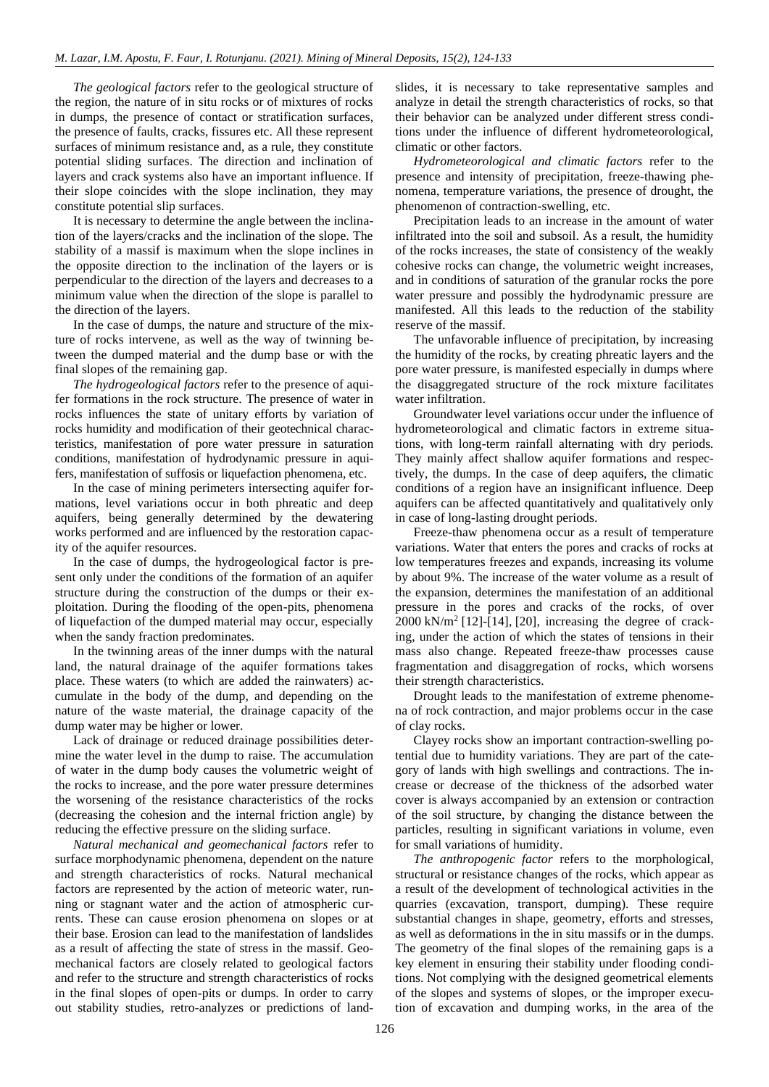*The geological factors* refer to the geological structure of the region, the nature of in situ rocks or of mixtures of rocks in dumps, the presence of contact or stratification surfaces, the presence of faults, cracks, fissures etc. All these represent surfaces of minimum resistance and, as a rule, they constitute potential sliding surfaces. The direction and inclination of layers and crack systems also have an important influence. If their slope coincides with the slope inclination, they may constitute potential slip surfaces.

It is necessary to determine the angle between the inclination of the layers/cracks and the inclination of the slope. The stability of a massif is maximum when the slope inclines in the opposite direction to the inclination of the layers or is perpendicular to the direction of the layers and decreases to a minimum value when the direction of the slope is parallel to the direction of the layers.

In the case of dumps, the nature and structure of the mixture of rocks intervene, as well as the way of twinning between the dumped material and the dump base or with the final slopes of the remaining gap.

*The hydrogeological factors* refer to the presence of aquifer formations in the rock structure. The presence of water in rocks influences the state of unitary efforts by variation of rocks humidity and modification of their geotechnical characteristics, manifestation of pore water pressure in saturation conditions, manifestation of hydrodynamic pressure in aquifers, manifestation of suffosis or liquefaction phenomena, etc.

In the case of mining perimeters intersecting aquifer formations, level variations occur in both phreatic and deep aquifers, being generally determined by the dewatering works performed and are influenced by the restoration capacity of the aquifer resources.

In the case of dumps, the hydrogeological factor is present only under the conditions of the formation of an aquifer structure during the construction of the dumps or their exploitation. During the flooding of the open-pits, phenomena of liquefaction of the dumped material may occur, especially when the sandy fraction predominates.

In the twinning areas of the inner dumps with the natural land, the natural drainage of the aquifer formations takes place. These waters (to which are added the rainwaters) accumulate in the body of the dump, and depending on the nature of the waste material, the drainage capacity of the dump water may be higher or lower.

Lack of drainage or reduced drainage possibilities determine the water level in the dump to raise. The accumulation of water in the dump body causes the volumetric weight of the rocks to increase, and the pore water pressure determines the worsening of the resistance characteristics of the rocks (decreasing the cohesion and the internal friction angle) by reducing the effective pressure on the sliding surface.

*Natural mechanical and geomechanical factors* refer to surface morphodynamic phenomena, dependent on the nature and strength characteristics of rocks. Natural mechanical factors are represented by the action of meteoric water, running or stagnant water and the action of atmospheric currents. These can cause erosion phenomena on slopes or at their base. Erosion can lead to the manifestation of landslides as a result of affecting the state of stress in the massif. Geomechanical factors are closely related to geological factors and refer to the structure and strength characteristics of rocks in the final slopes of open-pits or dumps. In order to carry out stability studies, retro-analyzes or predictions of landslides, it is necessary to take representative samples and analyze in detail the strength characteristics of rocks, so that their behavior can be analyzed under different stress conditions under the influence of different hydrometeorological, climatic or other factors.

*Hydrometeorological and climatic factors* refer to the presence and intensity of precipitation, freeze-thawing phenomena, temperature variations, the presence of drought, the phenomenon of contraction-swelling, etc.

Precipitation leads to an increase in the amount of water infiltrated into the soil and subsoil. As a result, the humidity of the rocks increases, the state of consistency of the weakly cohesive rocks can change, the volumetric weight increases, and in conditions of saturation of the granular rocks the pore water pressure and possibly the hydrodynamic pressure are manifested. All this leads to the reduction of the stability reserve of the massif.

The unfavorable influence of precipitation, by increasing the humidity of the rocks, by creating phreatic layers and the pore water pressure, is manifested especially in dumps where the disaggregated structure of the rock mixture facilitates water infiltration.

Groundwater level variations occur under the influence of hydrometeorological and climatic factors in extreme situations, with long-term rainfall alternating with dry periods. They mainly affect shallow aquifer formations and respectively, the dumps. In the case of deep aquifers, the climatic conditions of a region have an insignificant influence. Deep aquifers can be affected quantitatively and qualitatively only in case of long-lasting drought periods.

Freeze-thaw phenomena occur as a result of temperature variations. Water that enters the pores and cracks of rocks at low temperatures freezes and expands, increasing its volume by about 9%. The increase of the water volume as a result of the expansion, determines the manifestation of an additional pressure in the pores and cracks of the rocks, of over 2000 kN/m<sup>2</sup> [\[12\]](#page-8-10)[-\[14\],](#page-8-12) [\[20\],](#page-9-2) increasing the degree of cracking, under the action of which the states of tensions in their mass also change. Repeated freeze-thaw processes cause fragmentation and disaggregation of rocks, which worsens their strength characteristics.

Drought leads to the manifestation of extreme phenomena of rock contraction, and major problems occur in the case of clay rocks.

Clayey rocks show an important contraction-swelling potential due to humidity variations. They are part of the category of lands with high swellings and contractions. The increase or decrease of the thickness of the adsorbed water cover is always accompanied by an extension or contraction of the soil structure, by changing the distance between the particles, resulting in significant variations in volume, even for small variations of humidity.

*The anthropogenic factor* refers to the morphological, structural or resistance changes of the rocks, which appear as a result of the development of technological activities in the quarries (excavation, transport, dumping). These require substantial changes in shape, geometry, efforts and stresses, as well as deformations in the in situ massifs or in the dumps. The geometry of the final slopes of the remaining gaps is a key element in ensuring their stability under flooding conditions. Not complying with the designed geometrical elements of the slopes and systems of slopes, or the improper execution of excavation and dumping works, in the area of the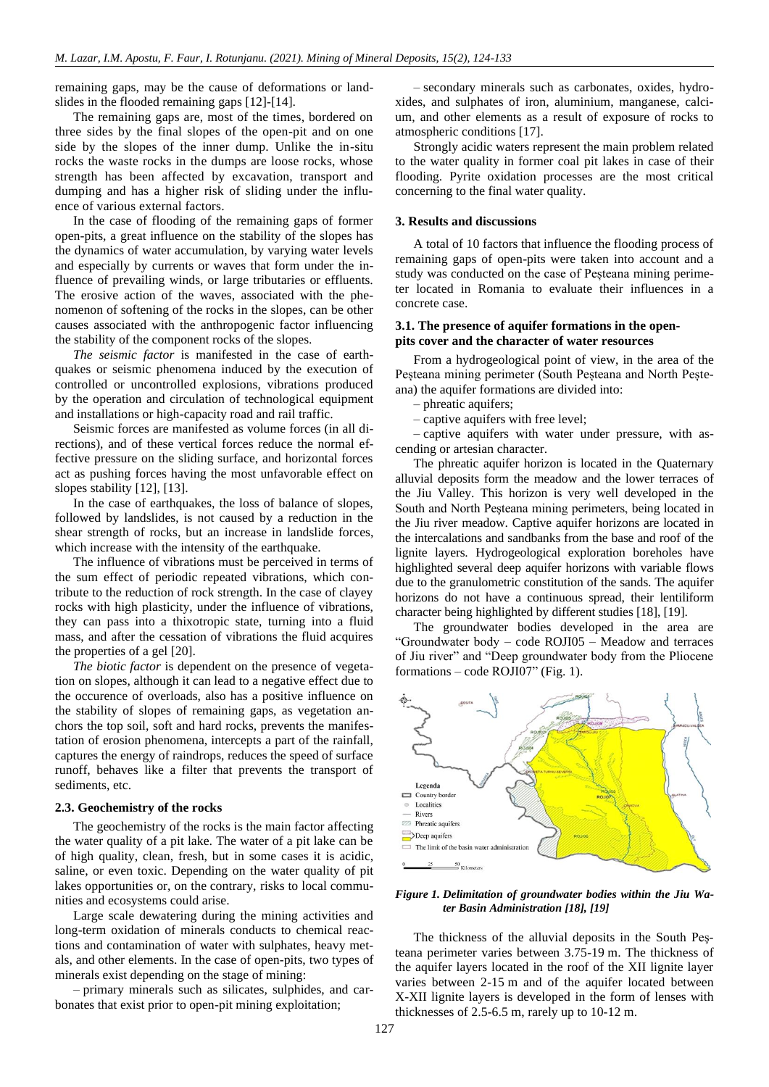remaining gaps, may be the cause of deformations or landslides in the flooded remaining gaps [\[12\]](#page-8-10)[-\[14\].](#page-8-12)

The remaining gaps are, most of the times, bordered on three sides by the final slopes of the open-pit and on one side by the slopes of the inner dump. Unlike the in-situ rocks the waste rocks in the dumps are loose rocks, whose strength has been affected by excavation, transport and dumping and has a higher risk of sliding under the influence of various external factors.

In the case of flooding of the remaining gaps of former open-pits, a great influence on the stability of the slopes has the dynamics of water accumulation, by varying water levels and especially by currents or waves that form under the influence of prevailing winds, or large tributaries or effluents. The erosive action of the waves, associated with the phenomenon of softening of the rocks in the slopes, can be other causes associated with the anthropogenic factor influencing the stability of the component rocks of the slopes.

*The seismic factor* is manifested in the case of earthquakes or seismic phenomena induced by the execution of controlled or uncontrolled explosions, vibrations produced by the operation and circulation of technological equipment and installations or high-capacity road and rail traffic.

Seismic forces are manifested as volume forces (in all directions), and of these vertical forces reduce the normal effective pressure on the sliding surface, and horizontal forces act as pushing forces having the most unfavorable effect on slopes stability [\[12\],](#page-8-10) [\[13\].](#page-8-13)

In the case of earthquakes, the loss of balance of slopes, followed by landslides, is not caused by a reduction in the shear strength of rocks, but an increase in landslide forces, which increase with the intensity of the earthquake.

The influence of vibrations must be perceived in terms of the sum effect of periodic repeated vibrations, which contribute to the reduction of rock strength. In the case of clayey rocks with high plasticity, under the influence of vibrations, they can pass into a thixotropic state, turning into a fluid mass, and after the cessation of vibrations the fluid acquires the properties of a gel [\[20\].](#page-9-2)

*The biotic factor* is dependent on the presence of vegetation on slopes, although it can lead to a negative effect due to the occurence of overloads, also has a positive influence on the stability of slopes of remaining gaps, as vegetation anchors the top soil, soft and hard rocks, prevents the manifestation of erosion phenomena, intercepts a part of the rainfall, captures the energy of raindrops, reduces the speed of surface runoff, behaves like a filter that prevents the transport of sediments, etc.

## **2.3. Geochemistry of the rocks**

The geochemistry of the rocks is the main factor affecting the water quality of a pit lake. The water of a pit lake can be of high quality, clean, fresh, but in some cases it is acidic, saline, or even toxic. Depending on the water quality of pit lakes opportunities or, on the contrary, risks to local communities and ecosystems could arise.

Large scale dewatering during the mining activities and long-term oxidation of minerals conducts to chemical reactions and contamination of water with sulphates, heavy metals, and other elements. In the case of open-pits, two types of minerals exist depending on the stage of mining:

– primary minerals such as silicates, sulphides, and carbonates that exist prior to open-pit mining exploitation;

– secondary minerals such as carbonates, oxides, hydroxides, and sulphates of iron, aluminium, manganese, calcium, and other elements as a result of exposure of rocks to atmospheric conditions [\[17\].](#page-8-8)

Strongly acidic waters represent the main problem related to the water quality in former coal pit lakes in case of their flooding. Pyrite oxidation processes are the most critical concerning to the final water quality.

#### **3. Results and discussions**

A total of 10 factors that influence the flooding process of remaining gaps of open-pits were taken into account and a study was conducted on the case of Peșteana mining perimeter located in Romania to evaluate their influences in a concrete case.

## **3.1. The presence of aquifer formations in the openpits cover and the character of water resources**

From a hydrogeological point of view, in the area of the Peșteana mining perimeter (South Peșteana and North Peșteana) the aquifer formations are divided into:

- phreatic aquifers;
- captive aquifers with free level;

– captive aquifers with water under pressure, with ascending or artesian character.

The phreatic aquifer horizon is located in the Quaternary alluvial deposits form the meadow and the lower terraces of the Jiu Valley. This horizon is very well developed in the South and North Peşteana mining perimeters, being located in the Jiu river meadow. Captive aquifer horizons are located in the intercalations and sandbanks from the base and roof of the lignite layers. Hydrogeological exploration boreholes have highlighted several deep aquifer horizons with variable flows due to the granulometric constitution of the sands. The aquifer horizons do not have a continuous spread, their lentiliform character being highlighted by different studies [\[18\],](#page-9-0) [\[19\].](#page-9-1)

The groundwater bodies developed in the area are "Groundwater body – code ROJI05 – Meadow and terraces of Jiu river" and "Deep groundwater body from the Pliocene formations – code ROJI07" (Fig. 1).



## *Figure 1. Delimitation of groundwater bodies within the Jiu Water Basin Administration [\[18\],](#page-9-0) [\[19\]](#page-9-1)*

The thickness of the alluvial deposits in the South Peşteana perimeter varies between 3.75-19 m. The thickness of the aquifer layers located in the roof of the XII lignite layer varies between 2-15 m and of the aquifer located between X-XII lignite layers is developed in the form of lenses with thicknesses of 2.5-6.5 m, rarely up to 10-12 m.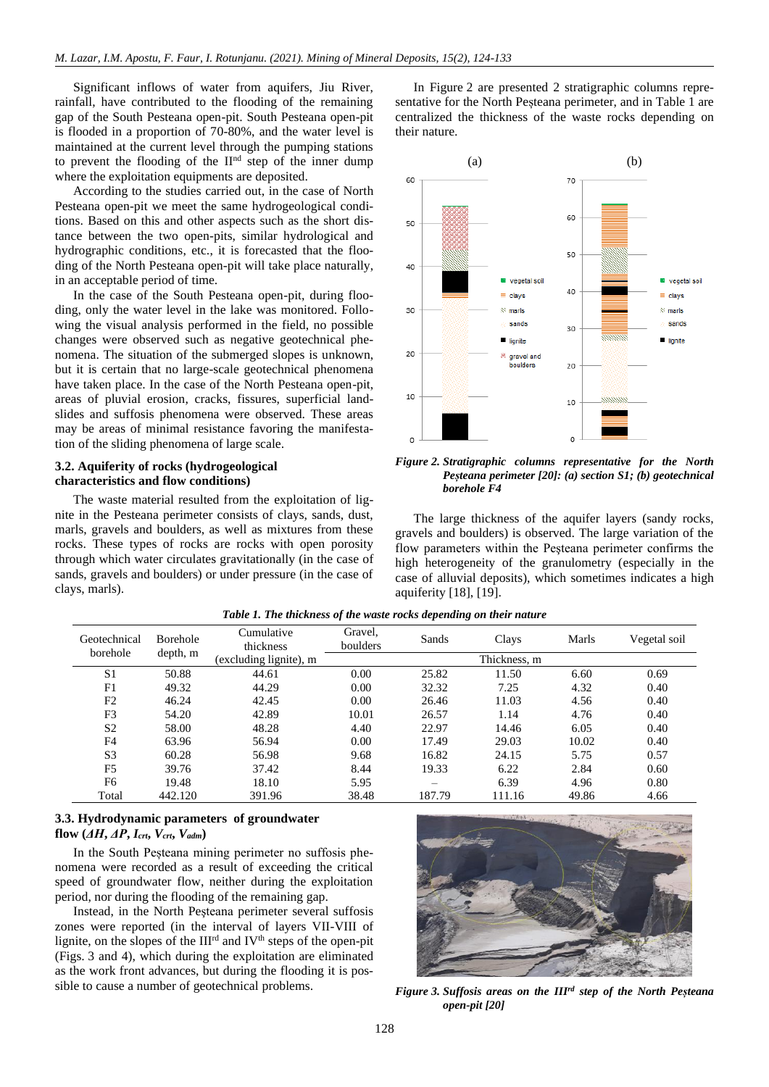Significant inflows of water from aquifers, Jiu River, rainfall, have contributed to the flooding of the remaining gap of the South Pesteana open-pit. South Pesteana open-pit is flooded in a proportion of 70-80%, and the water level is maintained at the current level through the pumping stations to prevent the flooding of the  $II<sup>nd</sup>$  step of the inner dump where the exploitation equipments are deposited.

According to the studies carried out, in the case of North Pesteana open-pit we meet the same hydrogeological conditions. Based on this and other aspects such as the short distance between the two open-pits, similar hydrological and hydrographic conditions, etc., it is forecasted that the flooding of the North Pesteana open-pit will take place naturally, in an acceptable period of time.

In the case of the South Pesteana open-pit, during flooding, only the water level in the lake was monitored. Following the visual analysis performed in the field, no possible changes were observed such as negative geotechnical phenomena. The situation of the submerged slopes is unknown, but it is certain that no large-scale geotechnical phenomena have taken place. In the case of the North Pesteana open-pit, areas of pluvial erosion, cracks, fissures, superficial landslides and suffosis phenomena were observed. These areas may be areas of minimal resistance favoring the manifestation of the sliding phenomena of large scale.

## **3.2. Aquiferity of rocks (hydrogeological characteristics and flow conditions)**

The waste material resulted from the exploitation of lignite in the Pesteana perimeter consists of clays, sands, dust, marls, gravels and boulders, as well as mixtures from these rocks. These types of rocks are rocks with open porosity through which water circulates gravitationally (in the case of sands, gravels and boulders) or under pressure (in the case of clays, marls).

In Figure 2 are presented 2 stratigraphic columns representative for the North Peșteana perimeter, and in Table 1 are centralized the thickness of the waste rocks depending on their nature.



*Figure 2. Stratigraphic columns representative for the North Peșteana perimeter [\[20\]:](#page-9-2) (a) section S1; (b) geotechnical borehole F4*

The large thickness of the aquifer layers (sandy rocks, gravels and boulders) is observed. The large variation of the flow parameters within the Peşteana perimeter confirms the high heterogeneity of the granulometry (especially in the case of alluvial deposits), which sometimes indicates a high aquiferity [\[18\],](#page-9-0) [\[19\].](#page-9-1)

| Geotechnical<br>borehole | <b>Borehole</b><br>depth, m | Cumulative<br>thickness | Gravel,<br>boulders | Sands  | Clays  | Marls | Vegetal soil |
|--------------------------|-----------------------------|-------------------------|---------------------|--------|--------|-------|--------------|
|                          |                             | (excluding lignite), m  | Thickness, m        |        |        |       |              |
| S <sub>1</sub>           | 50.88                       | 44.61                   | 0.00                | 25.82  | 11.50  | 6.60  | 0.69         |
| F1                       | 49.32                       | 44.29                   | 0.00                | 32.32  | 7.25   | 4.32  | 0.40         |
| F <sub>2</sub>           | 46.24                       | 42.45                   | 0.00                | 26.46  | 11.03  | 4.56  | 0.40         |
| F3                       | 54.20                       | 42.89                   | 10.01               | 26.57  | 1.14   | 4.76  | 0.40         |
| S <sub>2</sub>           | 58.00                       | 48.28                   | 4.40                | 22.97  | 14.46  | 6.05  | 0.40         |
| F <sub>4</sub>           | 63.96                       | 56.94                   | 0.00                | 17.49  | 29.03  | 10.02 | 0.40         |
| S <sub>3</sub>           | 60.28                       | 56.98                   | 9.68                | 16.82  | 24.15  | 5.75  | 0.57         |
| F <sub>5</sub>           | 39.76                       | 37.42                   | 8.44                | 19.33  | 6.22   | 2.84  | 0.60         |
| F6                       | 19.48                       | 18.10                   | 5.95                | —      | 6.39   | 4.96  | 0.80         |
| Total                    | 442.120                     | 391.96                  | 38.48               | 187.79 | 111.16 | 49.86 | 4.66         |

*Table 1. The thickness of the waste rocks depending on their nature*

# **3.3. Hydrodynamic parameters of groundwater flow**  $(AH, AP, I_{crt}, V_{crt}, V_{adm})$

In the South Peșteana mining perimeter no suffosis phenomena were recorded as a result of exceeding the critical speed of groundwater flow, neither during the exploitation period, nor during the flooding of the remaining gap.

Instead, in the North Peşteana perimeter several suffosis zones were reported (in the interval of layers VII-VIII of lignite, on the slopes of the  $III<sup>rd</sup>$  and IV<sup>th</sup> steps of the open-pit (Figs. 3 and 4), which during the exploitation are eliminated as the work front advances, but during the flooding it is possible to cause a number of geotechnical problems. *Figure 3. Suffosis areas on the IIIrd step of the North Peșteana* 



*open-pit [\[20\]](#page-9-2)*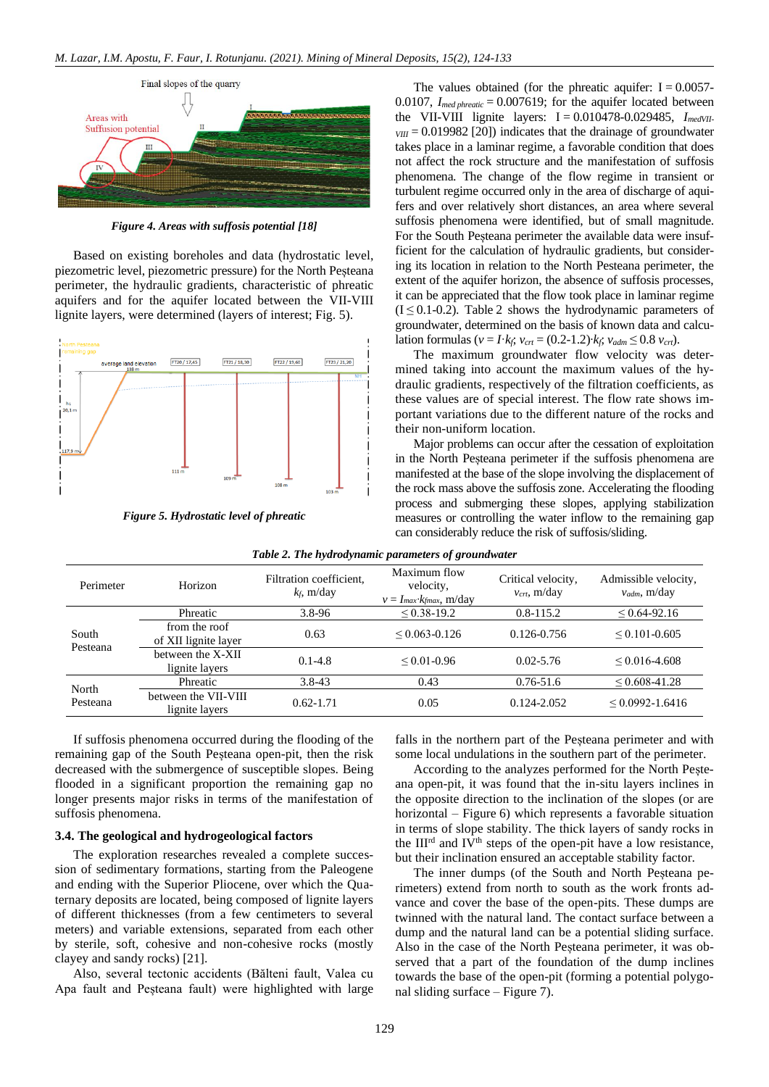

*Figure 4. Areas with suffosis potential [\[18\]](#page-9-0)*

Based on existing boreholes and data (hydrostatic level, piezometric level, piezometric pressure) for the North Peșteana perimeter, the hydraulic gradients, characteristic of phreatic aquifers and for the aquifer located between the VII-VIII lignite layers, were determined (layers of interest; Fig. 5).



*Figure 5. Hydrostatic level of phreatic*

The values obtained (for the phreatic aquifer:  $I = 0.0057$ -0.0107,  $I_{\text{med} \text{} \text{}$  *phreatic* = 0.007619; for the aquifer located between the VII-VIII lignite layers: I = 0.010478-0.029485, *ImedVII-* $V_{VIII}$  = 0.019982 [\[20\]\)](#page-9-2) indicates that the drainage of groundwater takes place in a laminar regime, a favorable condition that does not affect the rock structure and the manifestation of suffosis phenomena. The change of the flow regime in transient or turbulent regime occurred only in the area of discharge of aquifers and over relatively short distances, an area where several suffosis phenomena were identified, but of small magnitude. For the South Pesteana perimeter the available data were insufficient for the calculation of hydraulic gradients, but considering its location in relation to the North Pesteana perimeter, the extent of the aquifer horizon, the absence of suffosis processes, it can be appreciated that the flow took place in laminar regime  $(I \leq 0.1$ -0.2). Table 2 shows the hydrodynamic parameters of groundwater, determined on the basis of known data and calculation formulas (*v* = *I*⋅*kf*, *v*<sub>*crt*</sub> = (0.2-1.2)⋅*kf*, *v*<sub>*adm*</sub> ≤ 0.8 *v*<sub>*crt*</sub>).

The maximum groundwater flow velocity was determined taking into account the maximum values of the hydraulic gradients, respectively of the filtration coefficients, as these values are of special interest. The flow rate shows important variations due to the different nature of the rocks and their non-uniform location.

Major problems can occur after the cessation of exploitation in the North Peșteana perimeter if the suffosis phenomena are manifested at the base of the slope involving the displacement of the rock mass above the suffosis zone. Accelerating the flooding process and submerging these slopes, applying stabilization measures or controlling the water inflow to the remaining gap can considerably reduce the risk of suffosis/sliding.

| Perimeter         | Horizon                                | Filtration coefficient,<br>$k_f$ , m/day | Maximum flow<br>velocity,<br>$v = I_{max}$ $k_{max}$ , m/day | Critical velocity,<br>$v_{\text{crit}}$ , m/day | Admissible velocity,<br>$v_{adm}$ , m/day |
|-------------------|----------------------------------------|------------------------------------------|--------------------------------------------------------------|-------------------------------------------------|-------------------------------------------|
| South<br>Pesteana | Phreatic                               | $3.8 - 96$                               | $\leq 0.38 - 19.2$                                           | $0.8 - 115.2$                                   | $\leq 0.64 - 92.16$                       |
|                   | from the roof<br>of XII lignite layer  | 0.63                                     | $< 0.063 - 0.126$                                            | 0.126-0.756                                     | $\leq 0.101 - 0.605$                      |
|                   | between the X-XII<br>lignite layers    | $0.1 - 4.8$                              | $< 0.01 - 0.96$                                              | $0.02 - 5.76$                                   | $\leq 0.016 - 4.608$                      |
| North<br>Pesteana | Phreatic                               | $3.8 - 43$                               | 0.43                                                         | $0.76 - 51.6$                                   | $\leq 0.608 - 41.28$                      |
|                   | between the VII-VIII<br>lignite layers | $0.62 - 1.71$                            | 0.05                                                         | 0.124-2.052                                     | $< 0.0992 - 1.6416$                       |

*Table 2. The hydrodynamic parameters of groundwater*

If suffosis phenomena occurred during the flooding of the remaining gap of the South Peșteana open-pit, then the risk decreased with the submergence of susceptible slopes. Being flooded in a significant proportion the remaining gap no longer presents major risks in terms of the manifestation of suffosis phenomena.

## **3.4. The geological and hydrogeological factors**

The exploration researches revealed a complete succession of sedimentary formations, starting from the Paleogene and ending with the Superior Pliocene, over which the Quaternary deposits are located, being composed of lignite layers of different thicknesses (from a few centimeters to several meters) and variable extensions, separated from each other by sterile, soft, cohesive and non-cohesive rocks (mostly clayey and sandy rocks) [\[21\].](#page-9-3)

Also, several tectonic accidents (Bălteni fault, Valea cu Apa fault and Peșteana fault) were highlighted with large falls in the northern part of the Peșteana perimeter and with some local undulations in the southern part of the perimeter.

According to the analyzes performed for the North Peșteana open-pit, it was found that the in-situ layers inclines in the opposite direction to the inclination of the slopes (or are horizontal – Figure 6) which represents a favorable situation in terms of slope stability. The thick layers of sandy rocks in the  $III<sup>rd</sup>$  and  $IV<sup>th</sup>$  steps of the open-pit have a low resistance, but their inclination ensured an acceptable stability factor.

The inner dumps (of the South and North Peșteana perimeters) extend from north to south as the work fronts advance and cover the base of the open-pits. These dumps are twinned with the natural land. The contact surface between a dump and the natural land can be a potential sliding surface. Also in the case of the North Peșteana perimeter, it was observed that a part of the foundation of the dump inclines towards the base of the open-pit (forming a potential polygonal sliding surface – Figure 7).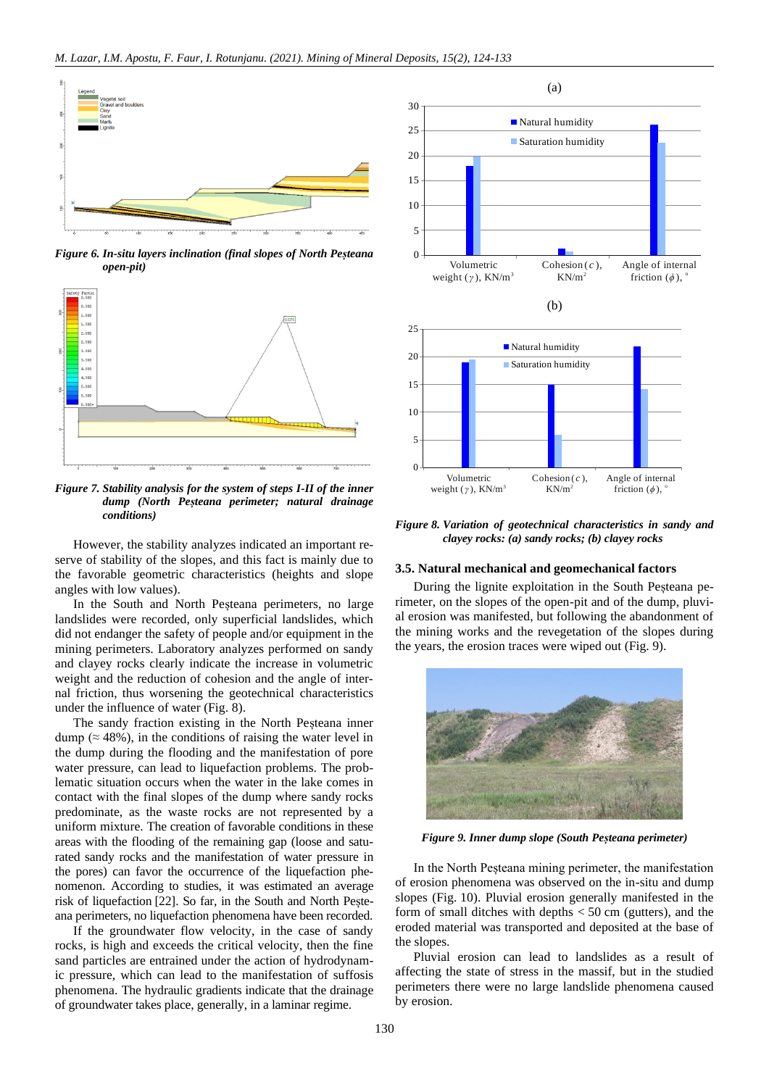

*Figure 6. In-situ layers inclination (final slopes of North Peșteana open-pit)*



*Figure 7. Stability analysis for the system of steps I-II of the inner dump (North Peșteana perimeter; natural drainage conditions)*

However, the stability analyzes indicated an important reserve of stability of the slopes, and this fact is mainly due to the favorable geometric characteristics (heights and slope angles with low values).

In the South and North Peșteana perimeters, no large landslides were recorded, only superficial landslides, which did not endanger the safety of people and/or equipment in the mining perimeters. Laboratory analyzes performed on sandy and clayey rocks clearly indicate the increase in volumetric weight and the reduction of cohesion and the angle of internal friction, thus worsening the geotechnical characteristics under the influence of water (Fig. 8).

The sandy fraction existing in the North Peșteana inner dump ( $\approx$  48%), in the conditions of raising the water level in the dump during the flooding and the manifestation of pore water pressure, can lead to liquefaction problems. The problematic situation occurs when the water in the lake comes in contact with the final slopes of the dump where sandy rocks predominate, as the waste rocks are not represented by a uniform mixture. The creation of favorable conditions in these areas with the flooding of the remaining gap (loose and saturated sandy rocks and the manifestation of water pressure in the pores) can favor the occurrence of the liquefaction phenomenon. According to studies, it was estimated an average risk of liquefaction [\[22\].](#page-9-4) So far, in the South and North Peșteana perimeters, no liquefaction phenomena have been recorded.

If the groundwater flow velocity, in the case of sandy rocks, is high and exceeds the critical velocity, then the fine sand particles are entrained under the action of hydrodynamic pressure, which can lead to the manifestation of suffosis phenomena. The hydraulic gradients indicate that the drainage of groundwater takes place, generally, in a laminar regime.



*Figure 8. Variation of geotechnical characteristics in sandy and clayey rocks: (a) sandy rocks; (b) clayey rocks*

#### **3.5. Natural mechanical and geomechanical factors**

During the lignite exploitation in the South Peșteana perimeter, on the slopes of the open-pit and of the dump, pluvial erosion was manifested, but following the abandonment of the mining works and the revegetation of the slopes during the years, the erosion traces were wiped out (Fig. 9).



*Figure 9. Inner dump slope (South Peșteana perimeter)*

In the North Peșteana mining perimeter, the manifestation of erosion phenomena was observed on the in-situ and dump slopes (Fig. 10). Pluvial erosion generally manifested in the form of small ditches with depths  $< 50$  cm (gutters), and the eroded material was transported and deposited at the base of the slopes.

Pluvial erosion can lead to landslides as a result of affecting the state of stress in the massif, but in the studied perimeters there were no large landslide phenomena caused by erosion.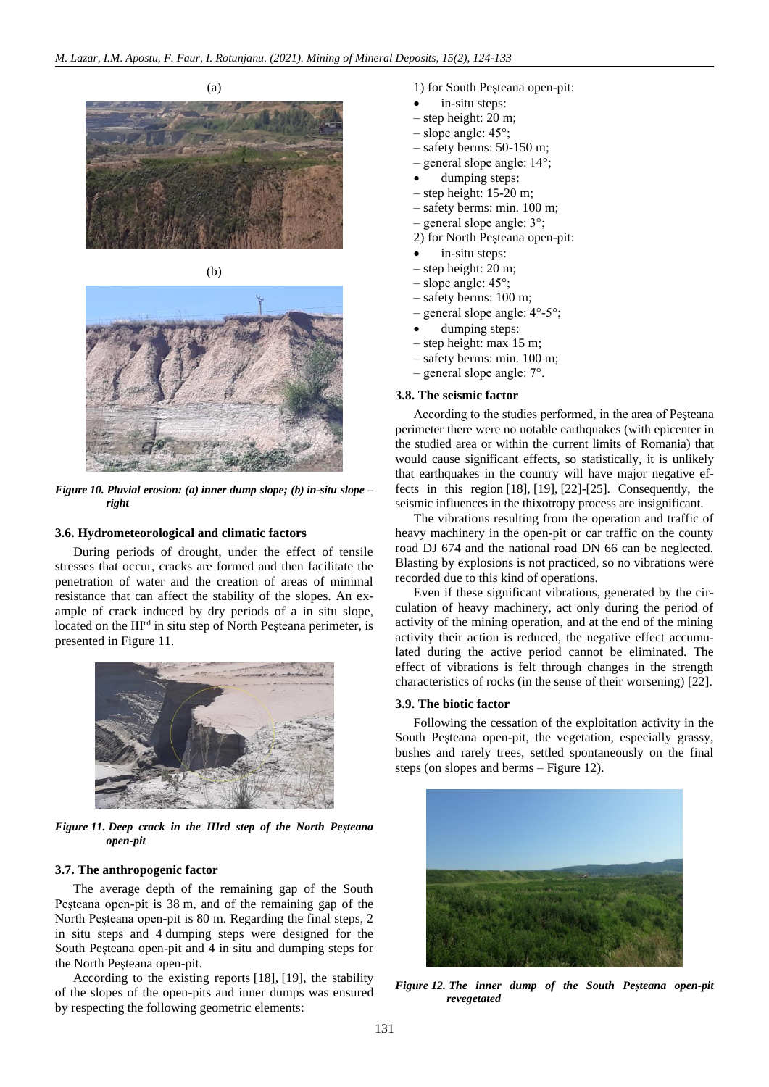



*Figure 10. Pluvial erosion: (a) inner dump slope; (b) in-situ slope – right*

## **3.6. Hydrometeorological and climatic factors**

During periods of drought, under the effect of tensile stresses that occur, cracks are formed and then facilitate the penetration of water and the creation of areas of minimal resistance that can affect the stability of the slopes. An example of crack induced by dry periods of a in situ slope, located on the III<sup>rd</sup> in situ step of North Peșteana perimeter, is presented in Figure 11.



*Figure 11. Deep crack in the IIIrd step of the North Peșteana open-pit*

## **3.7. The anthropogenic factor**

The average depth of the remaining gap of the South Peşteana open-pit is 38 m, and of the remaining gap of the North Peşteana open-pit is 80 m. Regarding the final steps, 2 in situ steps and 4 dumping steps were designed for the South Peșteana open-pit and 4 in situ and dumping steps for the North Peșteana open-pit.

According to the existing reports [\[18\],](#page-9-0) [\[19\],](#page-9-1) the stability of the slopes of the open-pits and inner dumps was ensured by respecting the following geometric elements:

- 1) for South Peșteana open-pit:
- in-situ steps:
- step height: 20 m;
- slope angle: 45°;
- safety berms: 50-150 m;
- general slope angle: 14°;
- dumping steps:
- step height: 15-20 m;
- safety berms: min. 100 m;
- general slope angle: 3°;
- 2) for North Peșteana open-pit:
- in-situ steps:
- step height: 20 m;
- slope angle: 45°;
- safety berms: 100 m;
- general slope angle: 4°-5°;
- dumping steps:
- step height: max 15 m;
- safety berms: min. 100 m;
- general slope angle: 7°.

## **3.8. The seismic factor**

According to the studies performed, in the area of Peşteana perimeter there were no notable earthquakes (with epicenter in the studied area or within the current limits of Romania) that would cause significant effects, so statistically, it is unlikely that earthquakes in the country will have major negative effects in this region [\[18\],](#page-9-0) [\[19\],](#page-9-1) [\[22\]](#page-9-4)[-\[25\].](#page-9-5) Consequently, the seismic influences in the thixotropy process are insignificant.

The vibrations resulting from the operation and traffic of heavy machinery in the open-pit or car traffic on the county road DJ 674 and the national road DN 66 can be neglected. Blasting by explosions is not practiced, so no vibrations were recorded due to this kind of operations.

Even if these significant vibrations, generated by the circulation of heavy machinery, act only during the period of activity of the mining operation, and at the end of the mining activity their action is reduced, the negative effect accumulated during the active period cannot be eliminated. The effect of vibrations is felt through changes in the strength characteristics of rocks (in the sense of their worsening) [\[22\].](#page-9-4)

## **3.9. The biotic factor**

Following the cessation of the exploitation activity in the South Peșteana open-pit, the vegetation, especially grassy, bushes and rarely trees, settled spontaneously on the final steps (on slopes and berms – Figure 12).



*Figure 12. The inner dump of the South Peșteana open-pit revegetated*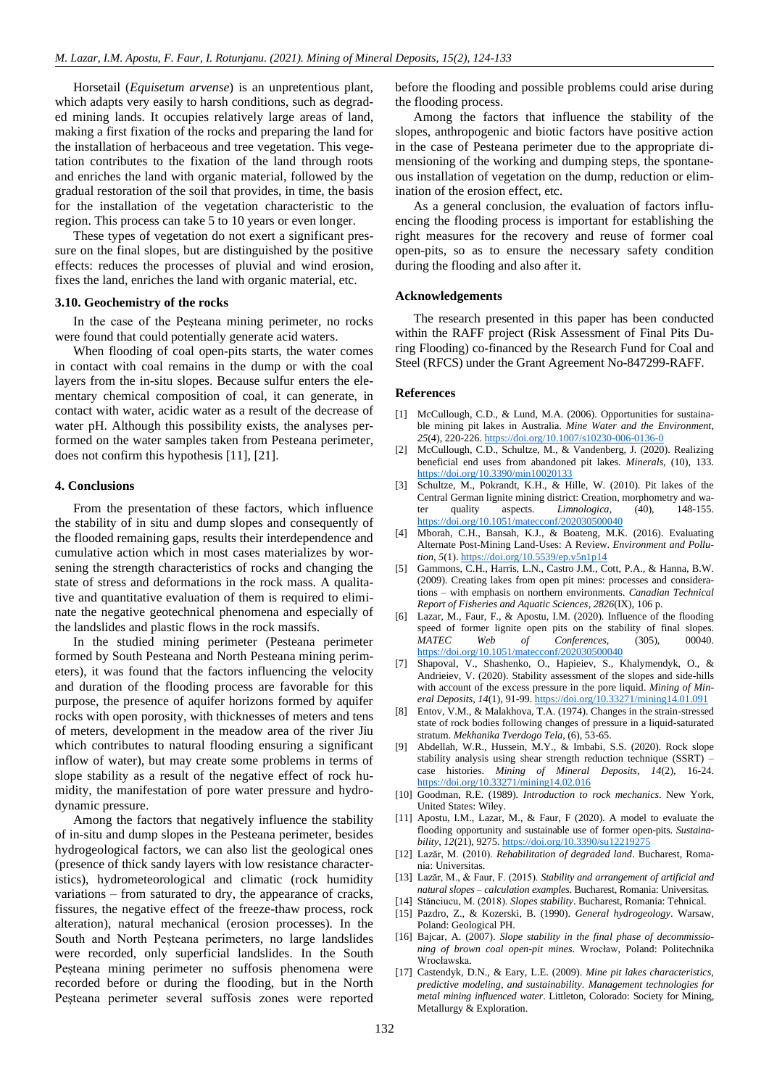Horsetail (*Equisetum arvense*) is an unpretentious plant, which adapts very easily to harsh conditions, such as degraded mining lands. It occupies relatively large areas of land, making a first fixation of the rocks and preparing the land for the installation of herbaceous and tree vegetation. This vegetation contributes to the fixation of the land through roots and enriches the land with organic material, followed by the gradual restoration of the soil that provides, in time, the basis for the installation of the vegetation characteristic to the region. This process can take 5 to 10 years or even longer.

These types of vegetation do not exert a significant pressure on the final slopes, but are distinguished by the positive effects: reduces the processes of pluvial and wind erosion, fixes the land, enriches the land with organic material, etc.

## **3.10. Geochemistry of the rocks**

In the case of the Peșteana mining perimeter, no rocks were found that could potentially generate acid waters.

When flooding of coal open-pits starts, the water comes in contact with coal remains in the dump or with the coal layers from the in-situ slopes. Because sulfur enters the elementary chemical composition of coal, it can generate, in contact with water, acidic water as a result of the decrease of water pH. Although this possibility exists, the analyses performed on the water samples taken from Pesteana perimeter, does not confirm this hypothesis [\[11\],](#page-8-9) [\[21\].](#page-9-3)

#### **4. Conclusions**

From the presentation of these factors, which influence the stability of in situ and dump slopes and consequently of the flooded remaining gaps, results their interdependence and cumulative action which in most cases materializes by worsening the strength characteristics of rocks and changing the state of stress and deformations in the rock mass. A qualitative and quantitative evaluation of them is required to eliminate the negative geotechnical phenomena and especially of the landslides and plastic flows in the rock massifs.

In the studied mining perimeter (Pesteana perimeter formed by South Pesteana and North Pesteana mining perimeters), it was found that the factors influencing the velocity and duration of the flooding process are favorable for this purpose, the presence of aquifer horizons formed by aquifer rocks with open porosity, with thicknesses of meters and tens of meters, development in the meadow area of the river Jiu which contributes to natural flooding ensuring a significant inflow of water), but may create some problems in terms of slope stability as a result of the negative effect of rock humidity, the manifestation of pore water pressure and hydrodynamic pressure.

Among the factors that negatively influence the stability of in-situ and dump slopes in the Pesteana perimeter, besides hydrogeological factors, we can also list the geological ones (presence of thick sandy layers with low resistance characteristics), hydrometeorological and climatic (rock humidity variations – from saturated to dry, the appearance of cracks, fissures, the negative effect of the freeze-thaw process, rock alteration), natural mechanical (erosion processes). In the South and North Peșteana perimeters, no large landslides were recorded, only superficial landslides. In the South Peșteana mining perimeter no suffosis phenomena were recorded before or during the flooding, but in the North Peşteana perimeter several suffosis zones were reported before the flooding and possible problems could arise during the flooding process.

Among the factors that influence the stability of the slopes, anthropogenic and biotic factors have positive action in the case of Pesteana perimeter due to the appropriate dimensioning of the working and dumping steps, the spontaneous installation of vegetation on the dump, reduction or elimination of the erosion effect, etc.

As a general conclusion, the evaluation of factors influencing the flooding process is important for establishing the right measures for the recovery and reuse of former coal open-pits, so as to ensure the necessary safety condition during the flooding and also after it.

#### **Acknowledgements**

The research presented in this paper has been conducted within the RAFF project (Risk Assessment of Final Pits During Flooding) co-financed by the Research Fund for Coal and Steel (RFCS) under the Grant Agreement No-847299-RAFF.

#### **References**

- <span id="page-8-0"></span>[1] McCullough, C.D., & Lund, M.A. (2006). Opportunities for sustainable mining pit lakes in Australia. *Mine Water and the Environment*, *25*(4), 220-226. <https://doi.org/10.1007/s10230-006-0136-0>
- <span id="page-8-1"></span>[2] McCullough, C.D., Schultze, M., & Vandenberg, J. (2020). Realizing beneficial end uses from abandoned pit lakes. *Minerals*, (10), 133. <https://doi.org/10.3390/min10020133>
- <span id="page-8-2"></span>[3] Schultze, M., Pokrandt, K.H., & Hille, W. (2010). Pit lakes of the Central German lignite mining district: Creation, morphometry and water quality aspects. *Limnologica*, (40), 148-155. <https://doi.org/10.1051/matecconf/202030500040>
- <span id="page-8-3"></span>[4] Mborah, C.H., Bansah, K.J., & Boateng, M.K. (2016). Evaluating Alternate Post-Mining Land-Uses: A Review. *Environment and Pollution*, *5*(1). <https://doi.org/10.5539/ep.v5n1p14>
- <span id="page-8-4"></span>[5] Gammons, C.H., Harris, L.N., Castro J.M., Cott, P.A., & Hanna, B.W. (2009). Creating lakes from open pit mines: processes and considerations – with emphasis on northern environments. *Canadian Technical Report of Fisheries and Aquatic Sciences*, *2826*(IX), 106 p.
- <span id="page-8-5"></span>[6] Lazar, M., Faur, F., & Apostu, I.M. (2020). Influence of the flooding speed of former lignite open pits on the stability of final slopes. *MATEC Web of Conferences*, (305), 00040. <https://doi.org/10.1051/matecconf/202030500040>
- <span id="page-8-6"></span>[7] Shapoval, V., Shashenko, O., Hapieiev, S., Khalymendyk, O., & Andrieiev, V. (2020). Stability assessment of the slopes and side-hills with account of the excess pressure in the pore liquid. *Mining of Mineral Deposits*, *14*(1), 91-99. <https://doi.org/10.33271/mining14.01.091>
- [8] Entov, V.M., & Malakhova, T.A. (1974). Changes in the strain-stressed state of rock bodies following changes of pressure in a liquid-saturated stratum. *Mekhanika Tverdogo Tela*, (6), 53-65.
- [9] Abdellah, W.R., Hussein, M.Y., & Imbabi, S.S. (2020). Rock slope stability analysis using shear strength reduction technique (SSRT) – case histories. *Mining of Mineral Deposits*, *14*(2), 16-24. <https://doi.org/10.33271/mining14.02.016>
- <span id="page-8-7"></span>[10] Goodman, R.E. (1989). *Introduction to rock mechanics*. New York, United States: Wiley.
- <span id="page-8-9"></span>[11] Apostu, I.M., Lazar, M., & Faur, F (2020). A model to evaluate the flooding opportunity and sustainable use of former open-pits. *Sustainability*, *12*(21), 9275[. https://doi.org/10.3390/su12219275](https://doi.org/10.3390/su12219275)
- <span id="page-8-10"></span>[12] Lazăr, M. (2010). *Rehabilitation of degraded land*. Bucharest, Romania: Universitas.
- <span id="page-8-13"></span>[13] Lazăr, M., & Faur, F. (2015). *Stability and arrangement of artificial and natural slopes – calculation examples*. Bucharest, Romania: Universitas.
- <span id="page-8-12"></span><span id="page-8-11"></span>[14] Stănciucu, M. (2018). *Slopes stability*. Bucharest, Romania: Tehnical. [15] Pazdro, Z., & Kozerski, B. (1990). *General hydrogeology*. Warsaw, Poland: Geological PH.
- [16] Bajcar, A. (2007). *Slope stability in the final phase of decommissioning of brown coal open-pit mines*. Wrocław, Poland: Politechnika Wrocławska.
- <span id="page-8-8"></span>[17] Castendyk, D.N., & Eary, L.E. (2009). *Mine pit lakes characteristics, predictive modeling, and sustainability. Management technologies for metal mining influenced water*. Littleton, Colorado: Society for Mining, Metallurgy & Exploration.